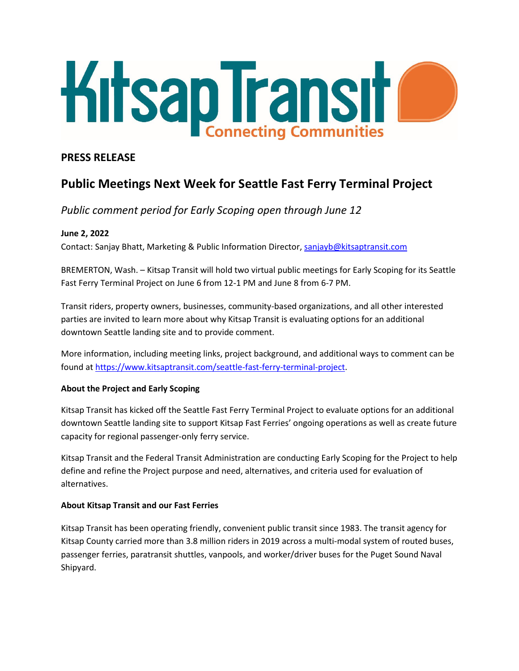

### **PRESS RELEASE**

# **Public Meetings Next Week for Seattle Fast Ferry Terminal Project**

## *Public comment period for Early Scoping open through June 12*

#### **June 2, 2022**

Contact: Sanjay Bhatt, Marketing & Public Information Director, [sanjayb@kitsaptransit.com](mailto:sanjayb@kitsaptransit.com)

BREMERTON, Wash. – Kitsap Transit will hold two virtual public meetings for Early Scoping for its Seattle Fast Ferry Terminal Project on June 6 from 12-1 PM and June 8 from 6-7 PM.

Transit riders, property owners, businesses, community-based organizations, and all other interested parties are invited to learn more about why Kitsap Transit is evaluating options for an additional downtown Seattle landing site and to provide comment.

More information, including meeting links, project background, and additional ways to comment can be found at [https://www.kitsaptransit.com/seattle-fast-ferry-terminal-project.](https://www.kitsaptransit.com/seattle-fast-ferry-terminal-project)

#### **About the Project and Early Scoping**

Kitsap Transit has kicked off the Seattle Fast Ferry Terminal Project to evaluate options for an additional downtown Seattle landing site to support Kitsap Fast Ferries' ongoing operations as well as create future capacity for regional passenger-only ferry service.

Kitsap Transit and the Federal Transit Administration are conducting Early Scoping for the Project to help define and refine the Project purpose and need, alternatives, and criteria used for evaluation of alternatives.

#### **About Kitsap Transit and our Fast Ferries**

Kitsap Transit has been operating friendly, convenient public transit since 1983. The transit agency for Kitsap County carried more than 3.8 million riders in 2019 across a multi-modal system of routed buses, passenger ferries, paratransit shuttles, vanpools, and worker/driver buses for the Puget Sound Naval Shipyard.